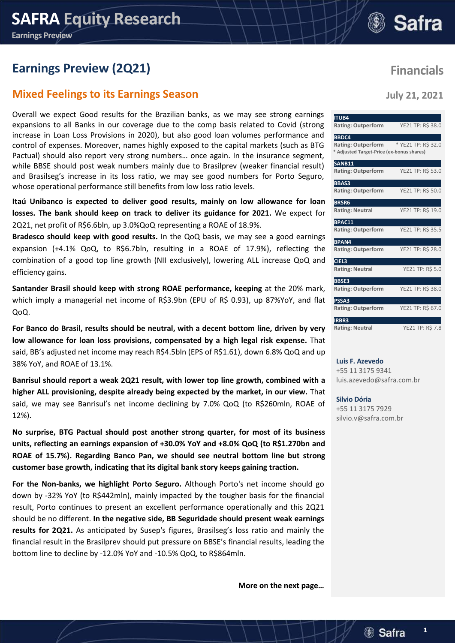# **Earnings Preview (2Q21) Financials**

# **Mixed Feelings to its Earnings Season July 21, 2021**

Overall we expect Good results for the Brazilian banks, as we may see strong earnings expansions to all Banks in our coverage due to the comp basis related to Covid (strong increase in Loan Loss Provisions in 2020), but also good loan volumes performance and control of expenses. Moreover, names highly exposed to the capital markets (such as BTG Pactual) should also report very strong numbers… once again. In the insurance segment, while BBSE should post weak numbers mainly due to Brasilprev (weaker financial result) and Brasilseg's increase in its loss ratio, we may see good numbers for Porto Seguro, whose operational performance still benefits from low loss ratio levels.

**Itaú Unibanco is expected to deliver good results, mainly on low allowance for loan losses. The bank should keep on track to deliver its guidance for 2021.** We expect for 2Q21, net profit of R\$6.6bln, up 3.0%QoQ representing a ROAE of 18.9%.

**Bradesco should keep with good results.** In the QoQ basis, we may see a good earnings expansion (+4.1% QoQ, to R\$6.7bln, resulting in a ROAE of 17.9%), reflecting the combination of a good top line growth (NII exclusively), lowering ALL increase QoQ and efficiency gains.

**Santander Brasil should keep with strong ROAE performance, keeping** at the 20% mark, which imply a managerial net income of R\$3.9bn (EPU of R\$ 0.93), up 87%YoY, and flat QoQ.

**For Banco do Brasil, results should be neutral, with a decent bottom line, driven by very low allowance for loan loss provisions, compensated by a high legal risk expense.** That said, BB's adjusted net income may reach R\$4.5bln (EPS of R\$1.61), down 6.8% QoQ and up 38% YoY, and ROAE of 13.1%.

**Banrisul should report a weak 2Q21 result, with lower top line growth, combined with a higher ALL provisioning, despite already being expected by the market, in our view.** That said, we may see Banrisul's net income declining by 7.0% QoQ (to R\$260mln, ROAE of 12%).

**No surprise, BTG Pactual should post another strong quarter, for most of its business units, reflecting an earnings expansion of +30.0% YoY and +8.0% QoQ (to R\$1.270bn and ROAE of 15.7%). Regarding Banco Pan, we should see neutral bottom line but strong customer base growth, indicating that its digital bank story keeps gaining traction.**

**For the Non-banks, we highlight Porto Seguro.** Although Porto's net income should go down by -32% YoY (to R\$442mln), mainly impacted by the tougher basis for the financial result, Porto continues to present an excellent performance operationally and this 2Q21 should be no different. **In the negative side, BB Seguridade should present weak earnings results for 2Q21.** As anticipated by Susep's figures, Brasilseg's loss ratio and mainly the financial result in the Brasilprev should put pressure on BBSE's financial results, leading the bottom line to decline by -12.0% YoY and -10.5% QoQ, to R\$864mln.

**More on the next page…**

| <b>ITUB4</b>                              |                     |
|-------------------------------------------|---------------------|
| <b>Rating: Outperform</b>                 | YE21 TP: R\$ 38.0   |
| <b>BBDC4</b>                              |                     |
| <b>Rating: Outperform</b>                 | * YE21 TP: R\$ 32.0 |
| * Adjusted Target-Price (ex-bonus shares) |                     |
| <b>SANB11</b>                             |                     |
| <b>Rating: Outperform</b>                 | YE21 TP: R\$ 53.0   |
| <b>BBAS3</b>                              |                     |
| <b>Rating: Outperform</b>                 | YE21 TP: R\$ 50.0   |
| <b>BRSR6</b>                              |                     |
| <b>Rating: Neutral</b>                    | YE21 TP: R\$ 19.0   |
|                                           |                     |
| BPAC11                                    |                     |
| <b>Rating: Outperform</b>                 | YE21 TP: R\$ 35.5   |
| <b>BPAN4</b>                              |                     |
| <b>Rating: Outperform</b>                 | YE21 TP: R\$ 28.0   |
| <b>CIEL3</b>                              |                     |
| <b>Rating: Neutral</b>                    | YE21 TP: R\$ 5.0    |
| <b>BBSE3</b>                              |                     |
| <b>Rating: Outperform</b>                 | YE21 TP: R\$ 38.0   |
|                                           |                     |
| PSSA3<br><b>Rating: Outperform</b>        | YE21 TP: R\$ 67.0   |
|                                           |                     |
| <b>IRBR3</b>                              |                     |
| <b>Rating: Neutral</b>                    | YE21 TP: R\$ 7.8    |

**Luis F. Azevedo** +55 11 3175 9341 luis.azevedo@safra.com.br

**Silvio Dória Analista** +55 11 3175 7929 silvio.v@safra.com.br

# <sup>3</sup> Safra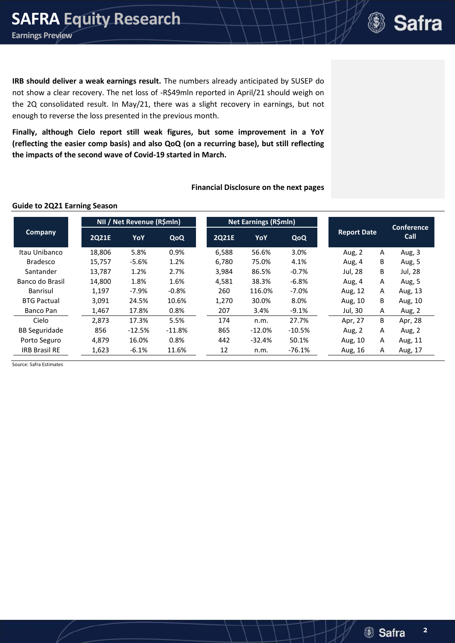

**IRB should deliver a weak earnings result.** The numbers already anticipated by SUSEP do not show a clear recovery. The net loss of -R\$49mln reported in April/21 should weigh on the 2Q consolidated result. In May/21, there was a slight recovery in earnings, but not enough to reverse the loss presented in the previous month.

**Finally, although Cielo report still weak figures, but some improvement in a YoY (reflecting the easier comp basis) and also QoQ (on a recurring base), but still reflecting the impacts of the second wave of Covid-19 started in March.**

#### **Financial Disclosure on the next pages**

## **Guide to 2Q21 Earning Season**

|                      |              | NII / Net Revenue (R\$mln) |          |              | Net Earnings (R\$mln) |          |         |                    | Conference |
|----------------------|--------------|----------------------------|----------|--------------|-----------------------|----------|---------|--------------------|------------|
| Company              | <b>2Q21E</b> | YoY                        | QoQ      | <b>2Q21E</b> | YoY                   | QoQ      |         | <b>Report Date</b> |            |
| Itau Unibanco        | 18,806       | 5.8%                       | 0.9%     | 6,588        | 56.6%                 | 3.0%     | Aug, 2  | Α                  | Aug, 3     |
| <b>Bradesco</b>      | 15,757       | $-5.6%$                    | 1.2%     | 6,780        | 75.0%                 | 4.1%     | Aug, 4  | B                  | Aug, 5     |
| Santander            | 13,787       | 1.2%                       | 2.7%     | 3,984        | 86.5%                 | $-0.7%$  | Jul, 28 | B                  | Jul, 28    |
| Banco do Brasil      | 14,800       | 1.8%                       | 1.6%     | 4,581        | 38.3%                 | $-6.8%$  | Aug, 4  | Α                  | Aug, 5     |
| Banrisul             | 1,197        | $-7.9%$                    | $-0.8%$  | 260          | 116.0%                | $-7.0%$  | Aug, 12 | Α                  | Aug, 13    |
| <b>BTG Pactual</b>   | 3,091        | 24.5%                      | 10.6%    | 1,270        | 30.0%                 | 8.0%     | Aug, 10 | B                  | Aug, 10    |
| Banco Pan            | 1,467        | 17.8%                      | 0.8%     | 207          | 3.4%                  | $-9.1%$  | Jul, 30 | A                  | Aug, 2     |
| Cielo                | 2.873        | 17.3%                      | 5.5%     | 174          | n.m.                  | 27.7%    | Apr, 27 | B                  | Apr, 28    |
| <b>BB Seguridade</b> | 856          | $-12.5%$                   | $-11.8%$ | 865          | $-12.0%$              | $-10.5%$ | Aug, 2  | A                  | Aug, 2     |
| Porto Seguro         | 4.879        | 16.0%                      | 0.8%     | 442          | $-32.4%$              | 50.1%    | Aug, 10 | A                  | Aug, 11    |
| <b>IRB Brasil RE</b> | 1,623        | $-6.1%$                    | 11.6%    | 12           | n.m.                  | $-76.1%$ | Aug, 16 | A                  | Aug, 17    |

Source: Safra Estimates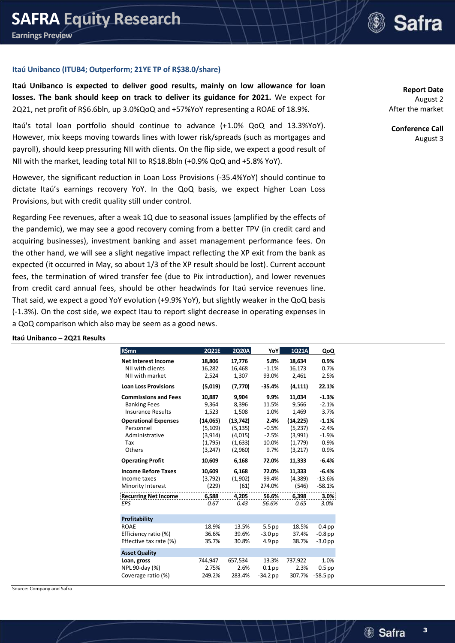

#### **Itaú Unibanco (ITUB4; Outperform; 21YE TP of R\$38.0/share)**

**Itaú Unibanco is expected to deliver good results, mainly on low allowance for loan losses. The bank should keep on track to deliver its guidance for 2021.** We expect for 2Q21, net profit of R\$6.6bln, up 3.0%QoQ and +57%YoY representing a ROAE of 18.9%.

Itaú's total loan portfolio should continue to advance (+1.0% QoQ and 13.3%YoY). However, mix keeps moving towards lines with lower risk/spreads (such as mortgages and payroll), should keep pressuring NII with clients. On the flip side, we expect a good result of NII with the market, leading total NII to R\$18.8bln (+0.9% QoQ and +5.8% YoY).

However, the significant reduction in Loan Loss Provisions (-35.4%YoY) should continue to dictate Itaú's earnings recovery YoY. In the QoQ basis, we expect higher Loan Loss Provisions, but with credit quality still under control.

Regarding Fee revenues, after a weak 1Q due to seasonal issues (amplified by the effects of the pandemic), we may see a good recovery coming from a better TPV (in credit card and acquiring businesses), investment banking and asset management performance fees. On the other hand, we will see a slight negative impact reflecting the XP exit from the bank as expected (it occurred in May, so about 1/3 of the XP result should be lost). Current account fees, the termination of wired transfer fee (due to Pix introduction), and lower revenues from credit card annual fees, should be other headwinds for Itaú service revenues line. That said, we expect a good YoY evolution (+9.9% YoY), but slightly weaker in the QoQ basis (-1.3%). On the cost side, we expect Itau to report slight decrease in operating expenses in a QoQ comparison which also may be seem as a good news.

#### **Itaú Unibanco – 2Q21 Results**

| <b>2Q21E</b> | 2Q20A     | YoY               | 1Q21A     | QoQ        |
|--------------|-----------|-------------------|-----------|------------|
| 18,806       | 17,776    | 5.8%              | 18,634    | 0.9%       |
| 16,282       | 16,468    | $-1.1%$           | 16,173    | 0.7%       |
| 2,524        | 1,307     | 93.0%             | 2,461     | 2.5%       |
| (5,019)      | (7, 770)  | $-35.4%$          | (4, 111)  | 22.1%      |
| 10,887       | 9,904     | 9.9%              | 11,034    | $-1.3%$    |
| 9,364        | 8,396     | 11.5%             | 9,566     | $-2.1%$    |
| 1,523        | 1,508     | 1.0%              | 1,469     | 3.7%       |
| (14,065)     | (13, 742) | 2.4%              | (14, 225) | $-1.1%$    |
|              | (5, 135)  | $-0.5%$           |           | $-2.4%$    |
| (3, 914)     | (4,015)   | $-2.5%$           | (3,991)   | $-1.9%$    |
| (1,795)      | (1,633)   | 10.0%             | (1,779)   | 0.9%       |
| (3, 247)     | (2,960)   | 9.7%              | (3,217)   | 0.9%       |
| 10,609       | 6,168     | 72.0%             | 11,333    | $-6.4%$    |
| 10,609       | 6,168     | 72.0%             | 11,333    | $-6.4%$    |
| (3,792)      | (1,902)   | 99.4%             | (4, 389)  | $-13.6%$   |
| (229)        | (61)      | 274.0%            | (546)     | $-58.1%$   |
| 6,588        | 4,205     | 56.6%             | 6,398     | 3.0%       |
| 0.67         | 0.43      | 56.6%             | 0.65      | 3.0%       |
|              |           |                   |           |            |
| 18.9%        | 13.5%     | 5.5 <sub>pp</sub> | 18.5%     | $0.4$ pp   |
| 36.6%        | 39.6%     | $-3.0$ pp         | 37.4%     | $-0.8$ pp  |
| 35.7%        | 30.8%     | 4.9 <sub>pp</sub> | 38.7%     | $-3.0$ pp  |
|              |           |                   |           |            |
| 744,947      | 657,534   | 13.3%             | 737,922   | 1.0%       |
| 2.75%        | 2.6%      | $0.1$ pp          | 2.3%      | $0.5$ pp   |
|              | 283.4%    | $-34.2$ pp        | 307.7%    | $-58.5$ pp |
|              | (5, 109)  |                   |           | (5, 237)   |

**Report Date** August 2 After the market

**Conference Call** August 3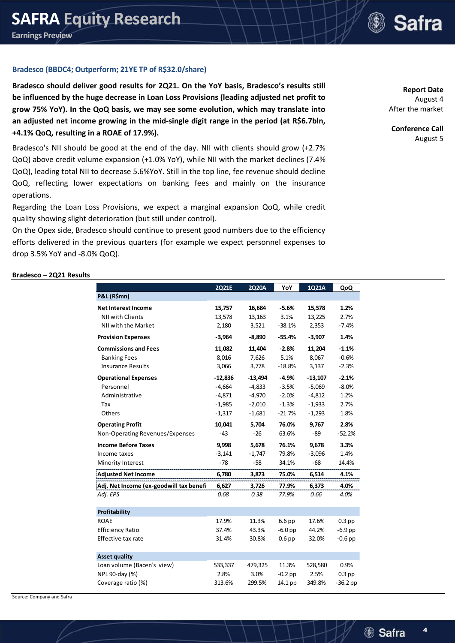**Safra** 

#### **Bradesco (BBDC4; Outperform; 21YE TP of R\$32.0/share)**

**Bradesco should deliver good results for 2Q21. On the YoY basis, Bradesco's results still be influenced by the huge decrease in Loan Loss Provisions (leading adjusted net profit to grow 75% YoY). In the QoQ basis, we may see some evolution, which may translate into an adjusted net income growing in the mid-single digit range in the period (at R\$6.7bln, +4.1% QoQ, resulting in a ROAE of 17.9%).**

Bradesco's NII should be good at the end of the day. NII with clients should grow (+2.7% QoQ) above credit volume expansion (+1.0% YoY), while NII with the market declines (7.4% QoQ), leading total NII to decrease 5.6%YoY. Still in the top line, fee revenue should decline QoQ, reflecting lower expectations on banking fees and mainly on the insurance operations.

Regarding the Loan Loss Provisions, we expect a marginal expansion QoQ, while credit quality showing slight deterioration (but still under control).

On the Opex side, Bradesco should continue to present good numbers due to the efficiency efforts delivered in the previous quarters (for example we expect personnel expenses to drop 3.5% YoY and -8.0% QoQ).

**Report Date** August 4 After the market

**Conference Call** August 5

#### **Bradesco – 2Q21 Results**

|                                         | <b>2Q21E</b> | 2Q20A     | YoY               | 1Q21A     | QoQ        |
|-----------------------------------------|--------------|-----------|-------------------|-----------|------------|
| P&L (R\$mn)                             |              |           |                   |           |            |
| <b>Net Interest Income</b>              | 15,757       | 16,684    | $-5.6%$           | 15,578    | 1.2%       |
| <b>NII with Clients</b>                 | 13,578       | 13,163    | 3.1%              | 13,225    | 2.7%       |
| NII with the Market                     | 2,180        | 3,521     | $-38.1%$          | 2,353     | $-7.4%$    |
| <b>Provision Expenses</b>               | $-3,964$     | $-8,890$  | $-55.4%$          | $-3,907$  | 1.4%       |
| <b>Commissions and Fees</b>             | 11,082       | 11,404    | $-2.8%$           | 11,204    | $-1.1%$    |
| <b>Banking Fees</b>                     | 8,016        | 7,626     | 5.1%              | 8,067     | $-0.6%$    |
| <b>Insurance Results</b>                | 3,066        | 3,778     | $-18.8%$          | 3,137     | $-2.3%$    |
| <b>Operational Expenses</b>             | $-12,836$    | $-13,494$ | $-4.9%$           | $-13,107$ | $-2.1%$    |
| Personnel                               | $-4,664$     | $-4,833$  | $-3.5%$           | $-5,069$  | $-8.0%$    |
| Administrative                          | $-4,871$     | $-4,970$  | $-2.0%$           | $-4,812$  | 1.2%       |
| Tax                                     | $-1,985$     | $-2,010$  | $-1.3%$           | $-1,933$  | 2.7%       |
| Others                                  | $-1,317$     | $-1,681$  | $-21.7%$          | $-1,293$  | 1.8%       |
| <b>Operating Profit</b>                 | 10,041       | 5,704     | 76.0%             | 9,767     | 2.8%       |
| Non-Operating Revenues/Expenses         | $-43$        | $-26$     | 63.6%             | -89       | $-52.2%$   |
| <b>Income Before Taxes</b>              | 9,998        | 5,678     | 76.1%             | 9,678     | 3.3%       |
| Income taxes                            | $-3,141$     | $-1,747$  | 79.8%             | $-3,096$  | 1.4%       |
| Minority Interest                       | $-78$        | $-58$     | 34.1%             | -68       | 14.4%      |
| <b>Adjusted Net Income</b>              | 6,780        | 3,873     | 75.0%             | 6,514     | 4.1%       |
| Adj. Net Income (ex-goodwill tax benefi | 6,627        | 3,726     | 77.9%             | 6,373     | 4.0%       |
| Adj. EPS                                | 0.68         | 0.38      | 77.9%             | 0.66      | 4.0%       |
| Profitability                           |              |           |                   |           |            |
| <b>ROAE</b>                             | 17.9%        | 11.3%     | 6.6 <sub>pp</sub> | 17.6%     | $0.3$ pp   |
| <b>Efficiency Ratio</b>                 | 37.4%        | 43.3%     | $-6.0$ pp         | 44.2%     | $-6.9$ pp  |
| Effective tax rate                      | 31.4%        | 30.8%     | 0.6 <sub>pp</sub> | 32.0%     | $-0.6$ pp  |
| <b>Asset quality</b>                    |              |           |                   |           |            |
| Loan volume (Bacen's view)              | 533,337      | 479,325   | 11.3%             | 528,580   | 0.9%       |
| NPL 90-day (%)                          | 2.8%         | 3.0%      | $-0.2$ pp         | 2.5%      | $0.3$ pp   |
| Coverage ratio (%)                      | 313.6%       | 299.5%    | 14.1 pp           | 349.8%    | $-36.2$ pp |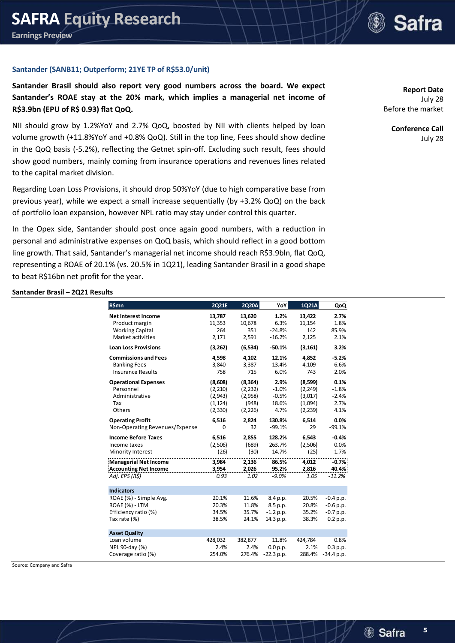### **Santander (SANB11; Outperform; 21YE TP of R\$53.0/unit)**

**Santander Brasil should also report very good numbers across the board. We expect Santander's ROAE stay at the 20% mark, which implies a managerial net income of R\$3.9bn (EPU of R\$ 0.93) flat QoQ.**

NII should grow by 1.2%YoY and 2.7% QoQ, boosted by NII with clients helped by loan volume growth (+11.8%YoY and +0.8% QoQ). Still in the top line, Fees should show decline in the QoQ basis (-5.2%), reflecting the Getnet spin-off. Excluding such result, fees should show good numbers, mainly coming from insurance operations and revenues lines related to the capital market division.

Regarding Loan Loss Provisions, it should drop 50%YoY (due to high comparative base from previous year), while we expect a small increase sequentially (by +3.2% QoQ) on the back of portfolio loan expansion, however NPL ratio may stay under control this quarter.

In the Opex side, Santander should post once again good numbers, with a reduction in personal and administrative expenses on QoQ basis, which should reflect in a good bottom line growth. That said, Santander's managerial net income should reach R\$3.9bln, flat QoQ, representing a ROAE of 20.1% (vs. 20.5% in 1Q21), leading Santander Brasil in a good shape to beat R\$16bn net profit for the year.

**Report Date** July 28 Before the market

> **Conference Call** July 28

#### **Santander Brasil – 2Q21 Results**

| <b>R\$mn</b>                   | 2Q21E    | 2Q20A    | YoY          | 1Q21A    | QoQ          |
|--------------------------------|----------|----------|--------------|----------|--------------|
| <b>Net Interest Income</b>     | 13,787   | 13,620   | 1.2%         | 13,422   | 2.7%         |
| Product margin                 | 11,353   | 10,678   | 6.3%         | 11,154   | 1.8%         |
| <b>Working Capital</b>         | 264      | 351      | $-24.8%$     | 142      | 85.9%        |
| Market activities              | 2,171    | 2,591    | $-16.2%$     | 2,125    | 2.1%         |
| <b>Loan Loss Provisions</b>    | (3,262)  | (6, 534) | $-50.1%$     | (3, 161) | 3.2%         |
| <b>Commissions and Fees</b>    | 4.598    | 4,102    | 12.1%        | 4.852    | $-5.2%$      |
| <b>Banking Fees</b>            | 3,840    | 3,387    | 13.4%        | 4,109    | $-6.6%$      |
| <b>Insurance Results</b>       | 758      | 715      | 6.0%         | 743      | 2.0%         |
| <b>Operational Expenses</b>    | (8,608)  | (8, 364) | 2.9%         | (8,599)  | 0.1%         |
| Personnel                      | (2,210)  | (2, 232) | $-1.0%$      | (2, 249) | $-1.8%$      |
| Administrative                 | (2,943)  | (2,958)  | $-0.5%$      | (3,017)  | $-2.4%$      |
| Tax                            | (1, 124) | (948)    | 18.6%        | (1,094)  | 2.7%         |
| Others                         | (2, 330) | (2, 226) | 4.7%         | (2, 239) | 4.1%         |
| <b>Operating Profit</b>        | 6,516    | 2,824    | 130.8%       | 6,514    | 0.0%         |
| Non-Operating Revenues/Expense | $\Omega$ | 32       | $-99.1%$     | 29       | $-99.1%$     |
| <b>Income Before Taxes</b>     | 6.516    | 2.855    | 128.2%       | 6.543    | $-0.4%$      |
| Income taxes                   | (2,506)  | (689)    | 263.7%       | (2,506)  | 0.0%         |
| Minority Interest              | (26)     | (30)     | $-14.7%$     | (25)     | 1.7%         |
| <b>Managerial Net Income</b>   | 3,984    | 2,136    | 86.5%        | 4,012    | $-0.7%$      |
| <b>Accounting Net Income</b>   | 3,954    | 2,026    | 95.2%        | 2,816    | 40.4%        |
| Adj. EPS (R\$)                 | 0.93     | 1.02     | $-9.0%$      | 1.05     | $-11.2%$     |
| <b>Indicators</b>              |          |          |              |          |              |
| ROAE (%) - Simple Avg.         | 20.1%    | 11.6%    | 8.4 p.p.     | 20.5%    | $-0.4 p.p.$  |
| ROAE (%) - LTM                 | 20.3%    | 11.8%    | 8.5 p.p.     | 20.8%    | $-0.6 p.p.$  |
| Efficiency ratio (%)           | 34.5%    | 35.7%    | $-1.2 p.p.$  | 35.2%    | $-0.7 p.p.$  |
| Tax rate (%)                   | 38.5%    | 24.1%    | 14.3 p.p.    | 38.3%    | 0.2 p.p.     |
| <b>Asset Quality</b>           |          |          |              |          |              |
| Loan volume                    | 428,032  | 382,877  | 11.8%        | 424,784  | 0.8%         |
| NPL 90-day (%)                 | 2.4%     | 2.4%     | 0.0 p.p.     | 2.1%     | 0.3 p.p.     |
| Coverage ratio (%)             | 254.0%   | 276.4%   | $-22.3 p.p.$ | 288.4%   | $-34.4 p.p.$ |
|                                |          |          |              |          |              |

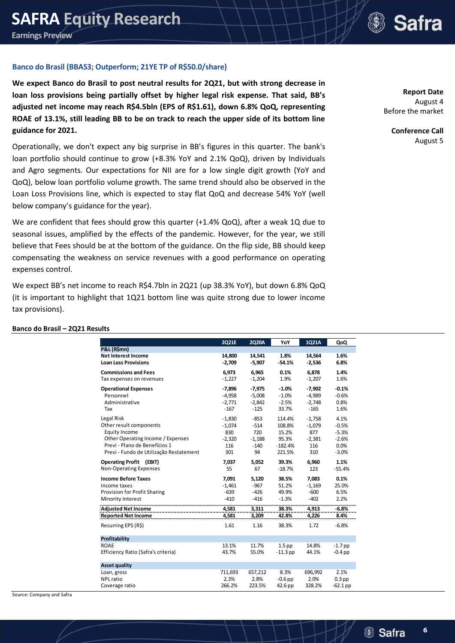#### **Banco do Brasil (BBAS3; Outperform; 21YE TP of R\$50.0/share)**

**We expect Banco do Brasil to post neutral results for 2Q21, but with strong decrease in loan loss provisions being partially offset by higher legal risk expense. That said, BB's adjusted net income may reach R\$4.5bln (EPS of R\$1.61), down 6.8% QoQ, representing ROAE of 13.1%, still leading BB to be on track to reach the upper side of its bottom line guidance for 2021.**

Operationally, we don't expect any big surprise in BB's figures in this quarter. The bank's loan portfolio should continue to grow (+8.3% YoY and 2.1% QoQ), driven by Individuals and Agro segments. Our expectations for NII are for a low single digit growth (YoY and QoQ), below loan portfolio volume growth. The same trend should also be observed in the Loan Loss Provisions line, which is expected to stay flat QoQ and decrease 54% YoY (well below company's guidance for the year).

We are confident that fees should grow this quarter (+1.4% QoQ), after a weak 1Q due to seasonal issues, amplified by the effects of the pandemic. However, for the year, we still believe that Fees should be at the bottom of the guidance. On the flip side, BB should keep compensating the weakness on service revenues with a good performance on operating expenses control.

We expect BB's net income to reach R\$4.7bln in 2Q21 (up 38.3% YoY), but down 6.8% QoQ (it is important to highlight that 1Q21 bottom line was quite strong due to lower income tax provisions).

| <b>Report Date</b> |
|--------------------|
| August 4           |
| Before the market  |

**Conference Call** August 5

#### **Banco do Brasil – 2Q21 Results**

|                                                           | 2Q21E              | 2Q20A              | YoY               | 1Q21A              | QoQ          |
|-----------------------------------------------------------|--------------------|--------------------|-------------------|--------------------|--------------|
| P&L (R\$mn)                                               |                    |                    |                   |                    |              |
| <b>Net Interest Income</b><br><b>Loan Loss Provisions</b> | 14.800<br>$-2,709$ | 14.541<br>$-5,907$ | 1.8%<br>$-54.1%$  | 14,564<br>$-2,536$ | 1.6%<br>6.8% |
| <b>Commissions and Fees</b>                               | 6,973              | 6,965              | 0.1%              | 6,878              | 1.4%         |
| Tax expenses on revenues                                  | $-1,227$           | $-1,204$           | 1.9%              | $-1,207$           | 1.6%         |
| <b>Operational Expenses</b>                               | $-7,896$           | $-7,975$           | $-1.0%$           | $-7,902$           | $-0.1%$      |
| Personnel                                                 | $-4,958$           | $-5,008$           | $-1.0%$           | $-4,989$           | $-0.6%$      |
| Administrative                                            | $-2,771$           | $-2,842$           | $-2.5%$           | $-2,748$           | 0.8%         |
| Tax                                                       | $-167$             | $-125$             | 33.7%             | $-165$             | 1.6%         |
| Legal Risk                                                | $-1.830$           | $-853$             | 114.4%            | $-1.758$           | 4.1%         |
| Other result components                                   | $-1.074$           | $-514$             | 108.8%            | $-1,079$           | $-0.5%$      |
| <b>Equity Income</b>                                      | 830                | 720                | 15.2%             | 877                | $-5.3%$      |
| Other Operating Income / Expenses                         | $-2.320$           | $-1,188$           | 95.3%             | $-2,381$           | $-2.6%$      |
| Previ - Plano de Benefícios 1                             | 116                | $-140$             | $-182.4%$         | 116                | 0.0%         |
| Previ - Fundo de Utilização Restatement                   | 301                | 94                 | 221.5%            | 310                | $-3.0%$      |
| <b>Operating Profit</b> (EBIT)                            | 7.037              | 5.052              | 39.3%             | 6.960              | 1.1%         |
| <b>Non-Operating Expenses</b>                             | 55                 | 67                 | $-18.7%$          | 123                | $-55.4%$     |
| <b>Income Before Taxes</b>                                | 7,091              | 5,120              | 38.5%             | 7,083              | 0.1%         |
| Income taxes                                              | $-1,461$           | $-967$             | 51.2%             | $-1,169$           | 25.0%        |
| Provision for Profit Sharing                              | $-639$             | $-426$             | 49.9%             | $-600$             | 6.5%         |
| Minority Interest                                         | $-410$             | $-416$             | $-1.3%$           | $-402$             | 2.2%         |
| <b>Adjusted Net Income</b>                                | 4,581              | 3,311              | 38.3%             | 4,913              | $-6.8%$      |
| <b>Reported Net Income</b>                                | 4,581              | 3,209              | 42.8%             | 4.226              | 8.4%         |
| Recurring EPS (R\$)                                       | 1.61               | 1.16               | 38.3%             | 1.72               | $-6.8%$      |
| Profitability                                             |                    |                    |                   |                    |              |
| <b>ROAE</b>                                               | 13.1%              | 11.7%              | 1.5 <sub>pp</sub> | 14.8%              | $-1.7$ pp    |
| Efficiency Ratio (Safra's criteria)                       | 43.7%              | 55.0%              | $-11.3$ pp        | 44.1%              | $-0.4$ pp    |
| <b>Asset quality</b>                                      |                    |                    |                   |                    |              |
| Loan, gross                                               | 711,693            | 657,212            | 8.3%              | 696,992            | 2.1%         |
| NPL ratio                                                 | 2.3%               | 2.8%               | $-0.6$ pp         | 2.0%               | $0.3$ pp     |
| Coverage ratio                                            | 266.2%             | 223.5%             | 42.6 pp           | 328.2%             | $-62.1$ pp   |

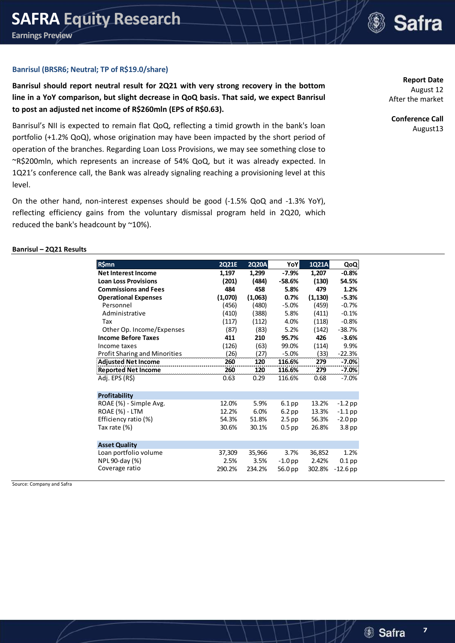

#### **Banrisul (BRSR6; Neutral; TP of R\$19.0/share)**

**Banrisul should report neutral result for 2Q21 with very strong recovery in the bottom line in a YoY comparison, but slight decrease in QoQ basis. That said, we expect Banrisul to post an adjusted net income of R\$260mln (EPS of R\$0.63).**

Banrisul's NII is expected to remain flat QoQ, reflecting a timid growth in the bank's loan portfolio (+1.2% QoQ), whose origination may have been impacted by the short period of operation of the branches. Regarding Loan Loss Provisions, we may see something close to ~R\$200mln, which represents an increase of 54% QoQ, but it was already expected. In 1Q21's conference call, the Bank was already signaling reaching a provisioning level at this level.

On the other hand, non-interest expenses should be good (-1.5% QoQ and -1.3% YoY), reflecting efficiency gains from the voluntary dismissal program held in 2Q20, which reduced the bank's headcount by ~10%).

**Report Date** August 12 After the market

**Conference Call** August13

#### **Banrisul – 2Q21 Results**

| <b>R\$mn</b>                  | <b>2Q21E</b> | <b>2Q20A</b> | YoY               | 1Q21A    | QoQ               |
|-------------------------------|--------------|--------------|-------------------|----------|-------------------|
| <b>Net Interest Income</b>    | 1,197        | 1,299        | $-7.9%$           | 1,207    | $-0.8%$           |
| <b>Loan Loss Provisions</b>   | (201)        | (484)        | $-58.6%$          | (130)    | 54.5%             |
| <b>Commissions and Fees</b>   | 484          | 458          | 5.8%              | 479      | 1.2%              |
| <b>Operational Expenses</b>   | (1,070)      | (1,063)      | 0.7%              | (1, 130) | $-5.3%$           |
| Personnel                     | (456)        | (480)        | $-5.0%$           | (459)    | $-0.7%$           |
| Administrative                | (410)        | (388)        | 5.8%              | (411)    | $-0.1%$           |
| Tax                           | (117)        | (112)        | 4.0%              | (118)    | $-0.8%$           |
| Other Op. Income/Expenses     | (87)         | (83)         | 5.2%              | (142)    | $-38.7%$          |
| <b>Income Before Taxes</b>    | 411          | 210          | 95.7%             | 426      | $-3.6%$           |
| Income taxes                  | (126)        | (63)         | 99.0%             | (114)    | 9.9%              |
| Profit Sharing and Minorities | (26)         | (27)         | $-5.0%$           | (33)     | $-22.3%$          |
| <b>Adjusted Net Income</b>    | 260          | 120          | 116.6%            | 279      | $-7.0%$           |
| <b>Reported Net Income</b>    | 260          | 120          | 116.6%            | 279      | $-7.0%$           |
| Adj. EPS (R\$)                | 0.63         | 0.29         | 116.6%            | 0.68     | $-7.0%$           |
|                               |              |              |                   |          |                   |
| Profitability                 |              |              |                   |          |                   |
| ROAE (%) - Simple Avg.        | 12.0%        | 5.9%         | $6.1$ pp          | 13.2%    | $-1.2$ pp         |
| ROAE (%) - LTM                | 12.2%        | 6.0%         | $6.2$ pp          | 13.3%    | $-1.1$ pp         |
| Efficiency ratio (%)          | 54.3%        | 51.8%        | 2.5 <sub>pp</sub> | 56.3%    | $-2.0$ pp         |
| Tax rate (%)                  | 30.6%        | 30.1%        | 0.5 <sub>pp</sub> | 26.8%    | 3.8 <sub>pp</sub> |
|                               |              |              |                   |          |                   |
| <b>Asset Quality</b>          |              |              |                   |          |                   |
| Loan portfolio volume         | 37,309       | 35,966       | 3.7%              | 36,852   | 1.2%              |
| NPL 90-day (%)                | 2.5%         | 3.5%         | $-1.0$ pp         | 2.42%    | $0.1$ pp          |
| Coverage ratio                | 290.2%       | 234.2%       | 56.0 pp           | 302.8%   | $-12.6$ pp        |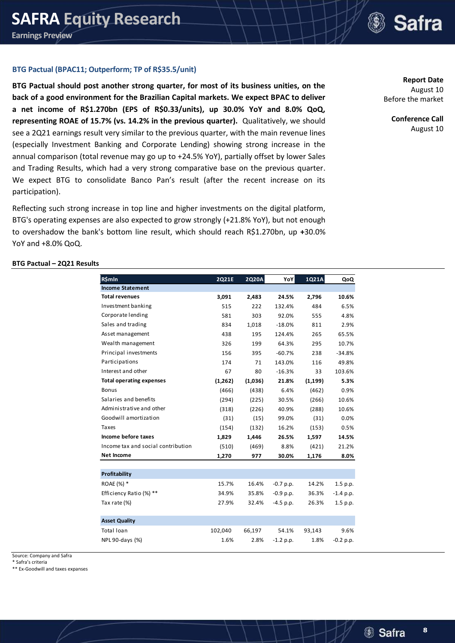# **Safra**

#### **BTG Pactual (BPAC11; Outperform; TP of R\$35.5/unit)**

**BTG Pactual should post another strong quarter, for most of its business unities, on the back of a good environment for the Brazilian Capital markets. We expect BPAC to deliver a net income of R\$1.270bn (EPS of R\$0.33/units), up 30.0% YoY and 8.0% QoQ, representing ROAE of 15.7% (vs. 14.2% in the previous quarter).** Qualitatively, we should see a 2Q21 earnings result very similar to the previous quarter, with the main revenue lines (especially Investment Banking and Corporate Lending) showing strong increase in the annual comparison (total revenue may go up to +24.5% YoY), partially offset by lower Sales and Trading Results, which had a very strong comparative base on the previous quarter. We expect BTG to consolidate Banco Pan's result (after the recent increase on its participation).

Reflecting such strong increase in top line and higher investments on the digital platform, BTG's operating expenses are also expected to grow strongly (+21.8% YoY), but not enough to overshadow the bank's bottom line result, which should reach R\$1.270bn, up **+**30.0% YoY and +8.0% QoQ.

**Report Date** August 10 Before the market

> **Conference Call** August 10

#### **BTG Pactual – 2Q21 Results**

| <b>R\$mln</b>                      | 2Q21E   | 2Q20A   | YoY         | 1Q21A    | QoQ         |
|------------------------------------|---------|---------|-------------|----------|-------------|
| <b>Income Statement</b>            |         |         |             |          |             |
| <b>Total revenues</b>              | 3,091   | 2,483   | 24.5%       | 2,796    | 10.6%       |
| Investment banking                 | 515     | 222     | 132.4%      | 484      | 6.5%        |
| Corporate lending                  | 581     | 303     | 92.0%       | 555      | 4.8%        |
| Sales and trading                  | 834     | 1,018   | $-18.0%$    | 811      | 2.9%        |
| Asset management                   | 438     | 195     | 124.4%      | 265      | 65.5%       |
| Wealth management                  | 326     | 199     | 64.3%       | 295      | 10.7%       |
| Principal investments              | 156     | 395     | $-60.7%$    | 238      | $-34.8%$    |
| Participations                     | 174     | 71      | 143.0%      | 116      | 49.8%       |
| Interest and other                 | 67      | 80      | $-16.3%$    | 33       | 103.6%      |
| <b>Total operating expenses</b>    | (1,262) | (1,036) | 21.8%       | (1, 199) | 5.3%        |
| <b>Bonus</b>                       | (466)   | (438)   | 6.4%        | (462)    | 0.9%        |
| Salaries and benefits              | (294)   | (225)   | 30.5%       | (266)    | 10.6%       |
| Administrative and other           | (318)   | (226)   | 40.9%       | (288)    | 10.6%       |
| Goodwill amortization              | (31)    | (15)    | 99.0%       | (31)     | 0.0%        |
| Taxes                              | (154)   | (132)   | 16.2%       | (153)    | 0.5%        |
| Income before taxes                | 1,829   | 1,446   | 26.5%       | 1,597    | 14.5%       |
| Income tax and social contribution | (510)   | (469)   | 8.8%        | (421)    | 21.2%       |
| Net Income                         | 1,270   | 977     | 30.0%       | 1,176    | 8.0%        |
|                                    |         |         |             |          |             |
| Profitability                      |         |         |             |          |             |
| ROAE (%) *                         | 15.7%   | 16.4%   | $-0.7$ p.p. | 14.2%    | 1.5 p.p.    |
| Efficiency Ratio (%) **            | 34.9%   | 35.8%   | $-0.9$ p.p. | 36.3%    | $-1.4$ p.p. |
| Tax rate (%)                       | 27.9%   | 32.4%   | $-4.5$ p.p. | 26.3%    | 1.5 p.p.    |
| <b>Asset Quality</b>               |         |         |             |          |             |
| Total loan                         | 102,040 | 66,197  | 54.1%       | 93,143   | 9.6%        |
| NPL 90-days (%)                    | 1.6%    | 2.8%    | $-1.2$ p.p. | 1.8%     | $-0.2$ p.p. |

Source: Company and Safra

\* Safra's criteria

\*\* Ex-Goodwill and taxes expanses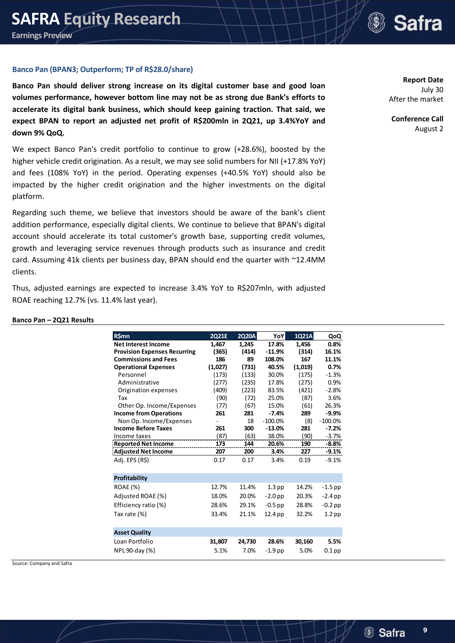

#### **Banco Pan (BPAN3; Outperform; TP of R\$28.0/share)**

**Banco Pan should deliver strong increase on its digital customer base and good loan volumes performance, however bottom line may not be as strong due Bank's efforts to accelerate its digital bank business, which should keep gaining traction. That said, we expect BPAN to report an adjusted net profit of R\$200mln in 2Q21, up 3.4%YoY and down 9% QoQ.** 

We expect Banco Pan's credit portfolio to continue to grow (+28.6%), boosted by the higher vehicle credit origination. As a result, we may see solid numbers for NII (+17.8% YoY) and fees (108% YoY) in the period. Operating expenses (+40.5% YoY) should also be impacted by the higher credit origination and the higher investments on the digital platform.

Regarding such theme, we believe that investors should be aware of the bank's client addition performance, especially digital clients. We continue to believe that BPAN's digital account should accelerate its total customer's growth base, supporting credit volumes, growth and leveraging service revenues through products such as insurance and credit card. Assuming 41k clients per business day, BPAN should end the quarter with ~12.4MM clients.

Thus, adjusted earnings are expected to increase 3.4% YoY to R\$207mln, with adjusted ROAE reaching 12.7% (vs. 11.4% last year).

| R\$mn                               | 2Q21E   | 2Q20A  | YoY        | 1Q21A   | QoQ       |
|-------------------------------------|---------|--------|------------|---------|-----------|
| <b>Net Interest Income</b>          | 1,467   | 1,245  | 17.8%      | 1,456   | 0.8%      |
| <b>Provision Expenses Recurring</b> | (365)   | (414)  | $-11.9%$   | (314)   | 16.1%     |
| <b>Commissions and Fees</b>         | 186     | 89     | 108.0%     | 167     | 11.1%     |
| <b>Operational Expenses</b>         | (1,027) | (731)  | 40.5%      | (1,019) | 0.7%      |
| Personnel                           | (173)   | (133)  | 30.0%      | (175)   | $-1.3%$   |
| Administrative                      | (277)   | (235)  | 17.8%      | (275)   | 0.9%      |
| Origination expenses                | (409)   | (223)  | 83.5%      | (421)   | $-2.8%$   |
| Tax                                 | (90)    | (72)   | 25.0%      | (87)    | 3.6%      |
| Other Op. Income/Expenses           | (77)    | (67)   | 15.0%      | (61)    | 26.3%     |
| <b>Income from Operations</b>       | 261     | 281    | $-7.4%$    | 289     | $-9.9%$   |
| Non Op. Income/Expenses             |         | 18     | $-100.0\%$ | (8)     | $-100.0%$ |
| <b>Income Before Taxes</b>          | 261     | 300    | $-13.0%$   | 281     | $-7.2%$   |
| Income taxes                        | (87)    | (63)   | 38.0%      | (90)    | $-3.7%$   |
| <b>Reported Net Income</b>          | 173     | 144    | 20.6%      | 190     | $-8.8%$   |
| <b>Adjusted Net Income</b>          | 207     | 200    | 3.4%       | 227     | $-9.1%$   |
| Adj. EPS (R\$)                      | 0.17    | 0.17   | 3.4%       | 0.19    | $-9.1%$   |
| Profitability                       |         |        |            |         |           |
| <b>ROAE</b> (%)                     | 12.7%   | 11.4%  | $1.3$ pp   | 14.2%   | $-1.5$ pp |
| Adjusted ROAE (%)                   | 18.0%   | 20.0%  | $-2.0$ pp  | 20.3%   | $-2.4$ pp |
| Efficiency ratio (%)                | 28.6%   | 29.1%  | $-0.5$ pp  | 28.8%   | $-0.2$ pp |
| Tax rate (%)                        | 33.4%   | 21.1%  | $12.4$ pp  | 32.2%   | $1.2$ pp  |
| <b>Asset Quality</b>                |         |        |            |         |           |
| Loan Portfolio                      | 31,807  | 24,730 | 28.6%      | 30,160  | 5.5%      |
| NPL 90-day (%)                      | 5.1%    | 7.0%   | $-1.9$ pp  | 5.0%    | $0.1$ pp  |

#### **Banco Pan – 2Q21 Results**

Source: Company and Safra

**Report Date** July 30 After the market

**Conference Call** August 2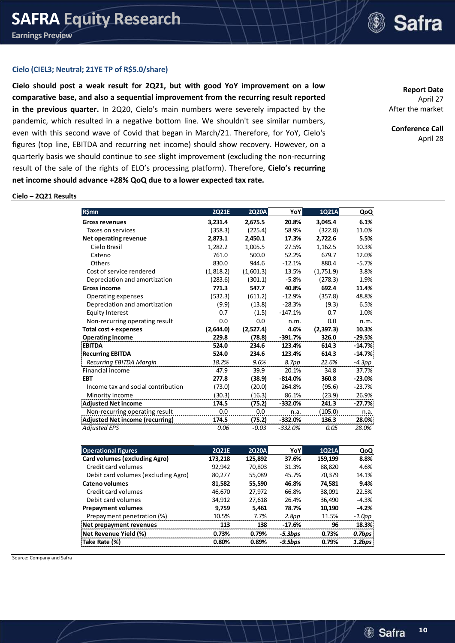

#### **Cielo (CIEL3; Neutral; 21YE TP of R\$5.0/share)**

**Cielo should post a weak result for 2Q21, but with good YoY improvement on a low comparative base, and also a sequential improvement from the recurring result reported in the previous quarter.** In 2Q20, Cielo's main numbers were severely impacted by the pandemic, which resulted in a negative bottom line. We shouldn't see similar numbers, even with this second wave of Covid that began in March/21. Therefore, for YoY, Cielo's figures (top line, EBITDA and recurring net income) should show recovery. However, on a quarterly basis we should continue to see slight improvement (excluding the non-recurring result of the sale of the rights of ELO's processing platform). Therefore, **Cielo's recurring net income should advance +28% QoQ due to a lower expected tax rate.**

**Report Date** April 27 After the market

**Conference Call** April 28

#### **Cielo – 2Q21 Results**

| <b>R\$mn</b>                         | 2Q21E     | <b>2Q20A</b> | YoY       | 1Q21A     | QoQ      |
|--------------------------------------|-----------|--------------|-----------|-----------|----------|
| <b>Gross revenues</b>                | 3,231.4   | 2,675.5      | 20.8%     | 3,045.4   | 6.1%     |
| Taxes on services                    | (358.3)   | (225.4)      | 58.9%     | (322.8)   | 11.0%    |
| Net operating revenue                | 2,873.1   | 2,450.1      | 17.3%     | 2,722.6   | 5.5%     |
| Cielo Brasil                         | 1,282.2   | 1,005.5      | 27.5%     | 1,162.5   | 10.3%    |
| Cateno                               | 761.0     | 500.0        | 52.2%     | 679.7     | 12.0%    |
| Others                               | 830.0     | 944.6        | $-12.1%$  | 880.4     | $-5.7%$  |
| Cost of service rendered             | (1,818.2) | (1,601.3)    | 13.5%     | (1,751.9) | 3.8%     |
| Depreciation and amortization        | (283.6)   | (301.1)      | $-5.8%$   | (278.3)   | 1.9%     |
| <b>Gross income</b>                  | 771.3     | 547.7        | 40.8%     | 692.4     | 11.4%    |
| Operating expenses                   | (532.3)   | (611.2)      | $-12.9%$  | (357.8)   | 48.8%    |
| Depreciation and amortization        | (9.9)     | (13.8)       | $-28.3%$  | (9.3)     | 6.5%     |
| <b>Equity Interest</b>               | 0.7       | (1.5)        | $-147.1%$ | 0.7       | 1.0%     |
| Non-recurring operating result       | 0.0       | 0.0          | n.m.      | 0.0       | n.m.     |
| Total cost + expenses                | (2,644.0) | (2,527.4)    | 4.6%      | (2,397.3) | 10.3%    |
| <b>Operating income</b>              | 229.8     | (78.8)       | $-391.7%$ | 326.0     | $-29.5%$ |
| <b>EBITDA</b>                        | 524.0     | 234.6        | 123.4%    | 614.3     | $-14.7%$ |
| <b>Recurring EBITDA</b>              | 524.0     | 234.6        | 123.4%    | 614.3     | $-14.7%$ |
| Recurring EBITDA Margin              | 18.2%     | 9.6%         | 8.7pp     | 22.6%     | $-4.3pp$ |
| <b>Financial income</b>              | 47.9      | 39.9         | 20.1%     | 34.8      | 37.7%    |
| <b>EBT</b>                           | 277.8     | (38.9)       | $-814.0%$ | 360.8     | $-23.0%$ |
| Income tax and social contribution   | (73.0)    | (20.0)       | 264.8%    | (95.6)    | $-23.7%$ |
| Minority Income                      | (30.3)    | (16.3)       | 86.1%     | (23.9)    | 26.9%    |
| <b>Adjusted Net income</b>           | 174.5     | (75.2)       | $-332.0%$ | 241.3     | $-27.7%$ |
| Non-recurring operating result       | 0.0       | 0.0          | n.a.      | (105.0)   | n.a.     |
| Adjusted Net income (recurring)      | 174.5     | (75.2)       | $-332.0%$ | 136.3     | 28.0%    |
| <b>Adjusted EPS</b>                  | 0.06      | $-0.03$      | $-332.0%$ | 0.05      | 28.0%    |
| <b>Operational figures</b>           | 2Q21E     | <b>2Q20A</b> | YoY       | 1Q21A     | QoQ      |
| <b>Card volumes (excluding Agro)</b> | 173.218   | 125.892      | 37.6%     | 159,199   | 8.8%     |

| <b>Operational rigules</b>          | ZUZIE   | <b>LULUA</b> | 1 U I      | IULIA   | uvu       |
|-------------------------------------|---------|--------------|------------|---------|-----------|
| Card volumes (excluding Agro)       | 173,218 | 125,892      | 37.6%      | 159,199 | 8.8%      |
| Credit card volumes                 | 92,942  | 70,803       | 31.3%      | 88,820  | 4.6%      |
| Debit card volumes (excluding Agro) | 80,277  | 55,089       | 45.7%      | 70.379  | 14.1%     |
| Cateno volumes                      | 81,582  | 55.590       | 46.8%      | 74.581  | 9.4%      |
| Credit card volumes                 | 46,670  | 27.972       | 66.8%      | 38,091  | 22.5%     |
| Debit card volumes                  | 34.912  | 27.618       | 26.4%      | 36.490  | $-4.3%$   |
| <b>Prepayment volumes</b>           | 9.759   | 5.461        | 78.7%      | 10.190  | $-4.2%$   |
| Prepayment penetration (%)          | 10.5%   | 7.7%         | 2.8pp      | 11.5%   | $-1.0$ pp |
| Net prepayment revenues             | 113     | 138          | $-17.6%$   | 96      | 18.3%     |
| Net Revenue Yield (%)               | 0.73%   | 0.79%        | $-5.3bps$  | 0.73%   | 0.7bps    |
| Take Rate (%)                       | 0.80%   | 0.89%        | $-9.5$ bps | 0.79%   | 1.2bps    |
|                                     |         |              |            |         |           |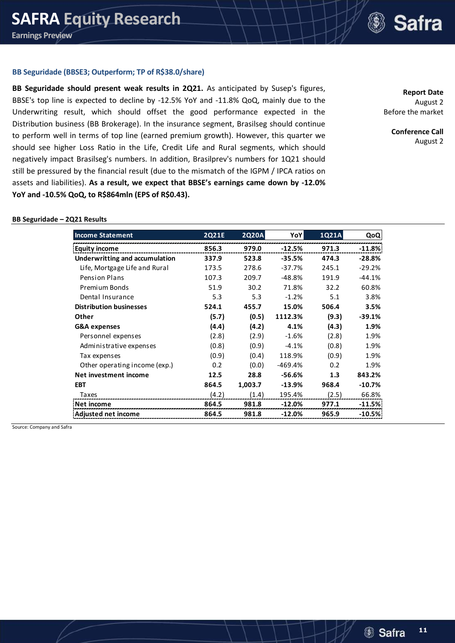

#### **BB Seguridade (BBSE3; Outperform; TP of R\$38.0/share)**

**BB Seguridade should present weak results in 2Q21.** As anticipated by Susep's figures, BBSE's top line is expected to decline by -12.5% YoY and -11.8% QoQ, mainly due to the Underwriting result, which should offset the good performance expected in the Distribution business (BB Brokerage). In the insurance segment, Brasilseg should continue to perform well in terms of top line (earned premium growth). However, this quarter we should see higher Loss Ratio in the Life, Credit Life and Rural segments, which should negatively impact Brasilseg's numbers. In addition, Brasilprev's numbers for 1Q21 should still be pressured by the financial result (due to the mismatch of the IGPM / IPCA ratios on assets and liabilities). **As a result, we expect that BBSE's earnings came down by -12.0% YoY and -10.5% QoQ, to R\$864mln (EPS of R\$0.43).**

**Report Date** August 2 Before the market

> **Conference Call** August 2

#### **BB Seguridade – 2Q21 Results**

| <b>Income Statement</b>        | 2Q21E | <b>2Q20A</b> | YoY       | 1Q21A | QoQ      |
|--------------------------------|-------|--------------|-----------|-------|----------|
| Equity income                  | 856.3 | 979.0        | $-12.5%$  | 971.3 | $-11.8%$ |
| Underwritting and accumulation | 337.9 | 523.8        | $-35.5%$  | 474.3 | $-28.8%$ |
| Life, Mortgage Life and Rural  | 173.5 | 278.6        | $-37.7%$  | 245.1 | $-29.2%$ |
| Pension Plans                  | 107.3 | 209.7        | $-48.8%$  | 191.9 | $-44.1%$ |
| <b>Premium Bonds</b>           | 51.9  | 30.2         | 71.8%     | 32.2  | 60.8%    |
| Dental Insurance               | 5.3   | 5.3          | $-1.2%$   | 5.1   | 3.8%     |
| <b>Distribution businesses</b> | 524.1 | 455.7        | 15.0%     | 506.4 | 3.5%     |
| Other                          | (5.7) | (0.5)        | 1112.3%   | (9.3) | $-39.1%$ |
| <b>G&amp;A</b> expenses        | (4.4) | (4.2)        | 4.1%      | (4.3) | 1.9%     |
| Personnel expenses             | (2.8) | (2.9)        | $-1.6%$   | (2.8) | 1.9%     |
| Administrative expenses        | (0.8) | (0.9)        | $-4.1%$   | (0.8) | 1.9%     |
| Tax expenses                   | (0.9) | (0.4)        | 118.9%    | (0.9) | 1.9%     |
| Other operating income (exp.)  | 0.2   | (0.0)        | $-469.4%$ | 0.2   | 1.9%     |
| Net investment income          | 12.5  | 28.8         | -56.6%    | 1.3   | 843.2%   |
| <b>EBT</b>                     | 864.5 | 1,003.7      | $-13.9%$  | 968.4 | $-10.7%$ |
| Taxes                          | (4.2) | (1.4)        | 195.4%    | (2.5) | 66.8%    |
| Net income                     | 864.5 | 981.8        | $-12.0%$  | 977.1 | $-11.5%$ |
| Adiusted net income            | 864.5 | 981.8        | $-12.0%$  | 965.9 | -10.5%   |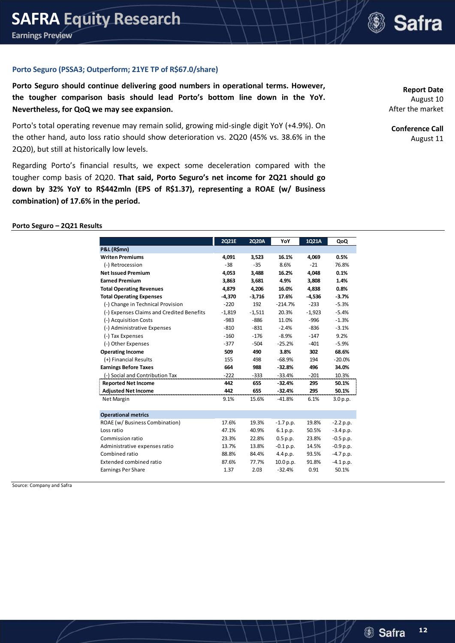

### **Porto Seguro (PSSA3; Outperform; 21YE TP of R\$67.0/share)**

**Porto Seguro should continue delivering good numbers in operational terms. However, the tougher comparison basis should lead Porto's bottom line down in the YoY. Nevertheless, for QoQ we may see expansion.**

Porto's total operating revenue may remain solid, growing mid-single digit YoY (+4.9%). On the other hand, auto loss ratio should show deterioration vs. 2Q20 (45% vs. 38.6% in the 2Q20), but still at historically low levels.

Regarding Porto's financial results, we expect some deceleration compared with the tougher comp basis of 2Q20. **That said, Porto Seguro's net income for 2Q21 should go down by 32% YoY to R\$442mln (EPS of R\$1.37), representing a ROAE (w/ Business combination) of 17.6% in the period.**

**Report Date** August 10 After the market

**Conference Call** August 11

#### **Porto Seguro – 2Q21 Results**

|                                           | 2Q21E    | 2Q20A    | YoY         | 1Q21A    | QoQ         |
|-------------------------------------------|----------|----------|-------------|----------|-------------|
| P&L (R\$mn)                               |          |          |             |          |             |
| <b>Writen Premiums</b>                    | 4,091    | 3,523    | 16.1%       | 4.069    | 0.5%        |
| (-) Retrocession                          | $-38$    | $-35$    | 8.6%        | $-21$    | 76.8%       |
| <b>Net Issued Premium</b>                 | 4,053    | 3,488    | 16.2%       | 4,048    | 0.1%        |
| <b>Earned Premium</b>                     | 3,863    | 3,681    | 4.9%        | 3,808    | 1.4%        |
| <b>Total Operating Revenues</b>           | 4,879    | 4,206    | 16.0%       | 4,838    | 0.8%        |
| <b>Total Operating Expenses</b>           | $-4,370$ | $-3,716$ | 17.6%       | $-4,536$ | $-3.7%$     |
| (-) Change in Technical Provision         | $-220$   | 192      | $-214.7%$   | $-233$   | $-5.3%$     |
| (-) Expenses Claims and Credited Benefits | $-1,819$ | $-1,511$ | 20.3%       | $-1.923$ | $-5.4%$     |
| (-) Acquisition Costs                     | $-983$   | $-886$   | 11.0%       | -996     | $-1.3%$     |
| (-) Administrative Expenses               | $-810$   | $-831$   | $-2.4%$     | $-836$   | $-3.1%$     |
| (-) Tax Expenses                          | $-160$   | $-176$   | $-8.9%$     | $-147$   | 9.2%        |
| (-) Other Expenses                        | $-377$   | $-504$   | $-25.2%$    | $-401$   | $-5.9%$     |
| <b>Operating Income</b>                   | 509      | 490      | 3.8%        | 302      | 68.6%       |
| (+) Financial Results                     | 155      | 498      | $-68.9%$    | 194      | $-20.0%$    |
| <b>Earnings Before Taxes</b>              | 664      | 988      | $-32.8%$    | 496      | 34.0%       |
| (-) Social and Contribution Tax           | $-222$   | $-333$   | $-33.4%$    | $-201$   | 10.3%       |
| <b>Reported Net Income</b>                | 442      | 655      | $-32.4%$    | 295      | 50.1%       |
| <b>Adjusted Net Income</b>                | 442      | 655      | $-32.4%$    | 295      | 50.1%       |
| Net Margin                                | 9.1%     | 15.6%    | $-41.8%$    | 6.1%     | 3.0 p.p.    |
| <b>Operational metrics</b>                |          |          |             |          |             |
| ROAE (w/ Business Combination)            | 17.6%    | 19.3%    | $-1.7 p.p.$ | 19.8%    | $-2.2 p.p.$ |
| Loss ratio                                | 47.1%    | 40.9%    | 6.1 p.p.    | 50.5%    | $-3.4 p.p.$ |
| Commission ratio                          | 23.3%    | 22.8%    | 0.5 p.p.    | 23.8%    | $-0.5 p.p.$ |
| Administrative expenses ratio             | 13.7%    | 13.8%    | $-0.1 p.p.$ | 14.5%    | $-0.9 p.p.$ |
| Combined ratio                            | 88.8%    | 84.4%    | 4.4 p.p.    | 93.5%    | $-4.7 p.p.$ |
| Extended combined ratio                   | 87.6%    | 77.7%    | 10.0 p.p.   | 91.8%    | $-4.1 p.p.$ |
| <b>Earnings Per Share</b>                 | 1.37     | 2.03     | $-32.4%$    | 0.91     | 50.1%       |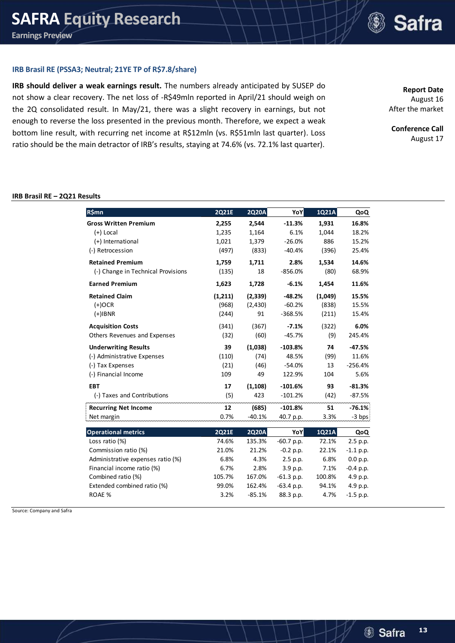# **Safra**

#### **IRB Brasil RE (PSSA3; Neutral; 21YE TP of R\$7.8/share)**

**IRB should deliver a weak earnings result.** The numbers already anticipated by SUSEP do not show a clear recovery. The net loss of -R\$49mln reported in April/21 should weigh on the 2Q consolidated result. In May/21, there was a slight recovery in earnings, but not enough to reverse the loss presented in the previous month. Therefore, we expect a weak bottom line result, with recurring net income at R\$12mln (vs. R\$51mln last quarter). Loss ratio should be the main detractor of IRB's results, staying at 74.6% (vs. 72.1% last quarter).

**Report Date** August 16 After the market

**Conference Call** August 17

#### **IRB Brasil RE – 2Q21 Results**

|                                              |                | <b>2Q20A</b>    | YoY          | 1Q21A          |             |
|----------------------------------------------|----------------|-----------------|--------------|----------------|-------------|
| <b>R\$mn</b>                                 | <b>2Q21E</b>   |                 |              |                | QoQ         |
| <b>Gross Written Premium</b>                 | 2,255          | 2,544           | $-11.3%$     | 1,931          | 16.8%       |
| $(+)$ Local                                  | 1,235          | 1,164           | 6.1%         | 1,044          | 18.2%       |
| (+) International                            | 1,021          | 1,379           | $-26.0%$     | 886            | 15.2%       |
| (-) Retrocession                             | (497)          | (833)           | $-40.4%$     | (396)          | 25.4%       |
| <b>Retained Premium</b>                      | 1,759          | 1.711           | 2.8%         | 1.534          | 14.6%       |
| (-) Change in Technical Provisions           | (135)          | 18              | $-856.0%$    | (80)           | 68.9%       |
| <b>Earned Premium</b>                        | 1,623          | 1,728           | $-6.1%$      | 1,454          | 11.6%       |
| <b>Retained Claim</b>                        | (1,211)        | (2, 339)        | $-48.2%$     | (1,049)        | 15.5%       |
| $(+)$ OCR                                    | (968)          | (2,430)         | $-60.2%$     | (838)          | 15.5%       |
| $(+)$ IBNR                                   | (244)          | 91              | $-368.5%$    | (211)          | 15.4%       |
| <b>Acquisition Costs</b>                     | (341)          | (367)           | $-7.1%$      | (322)          | 6.0%        |
| Others Revenues and Expenses                 | (32)           | (60)            | $-45.7%$     | (9)            | 245.4%      |
| <b>Underwriting Results</b>                  | 39             | (1,038)         | $-103.8%$    | 74             | $-47.5%$    |
| (-) Administrative Expenses                  | (110)          | (74)            | 48.5%        | (99)           | 11.6%       |
| (-) Tax Expenses                             | (21)           | (46)            | $-54.0%$     | 13             | $-256.4%$   |
| (-) Financial Income                         | 109            | 49              | 122.9%       | 104            | 5.6%        |
| <b>EBT</b>                                   | 17             | (1, 108)        | $-101.6%$    | 93             | $-81.3%$    |
| (-) Taxes and Contributions                  | (5)            | 423             | $-101.2%$    | (42)           | $-87.5%$    |
| <b>Recurring Net Income</b>                  | 12             | (685)           | $-101.8%$    | 51             | $-76.1%$    |
| Net margin                                   | 0.7%           | $-40.1%$        | 40.7 p.p.    | 3.3%           | $-3$ bps:   |
|                                              |                |                 | YoY          |                |             |
| <b>Operational metrics</b><br>Loss ratio (%) | 2Q21E<br>74.6% | 2Q20A<br>135.3% | -60.7 p.p.   | 1Q21A<br>72.1% | QoQ         |
|                                              | 21.0%          | 21.2%           |              |                | 2.5 p.p.    |
| Commission ratio (%)                         |                |                 | $-0.2$ p.p.  | 22.1%          | $-1.1$ p.p. |
| Administrative expenses ratio (%)            | 6.8%           | 4.3%            | 2.5 p.p.     | 6.8%           | 0.0 p.p.    |
| Financial income ratio (%)                   | 6.7%           | 2.8%            | 3.9 p.p.     | 7.1%           | $-0.4$ p.p. |
| Combined ratio (%)                           | 105.7%         | 167.0%          | $-61.3$ p.p. | 100.8%         | 4.9 p.p.    |
| Extended combined ratio (%)                  | 99.0%          | 162.4%          | $-63.4$ p.p. | 94.1%          | 4.9 p.p.    |
| <b>ROAE %</b>                                | 3.2%           | $-85.1%$        | 88.3 p.p.    | 4.7%           | $-1.5$ p.p. |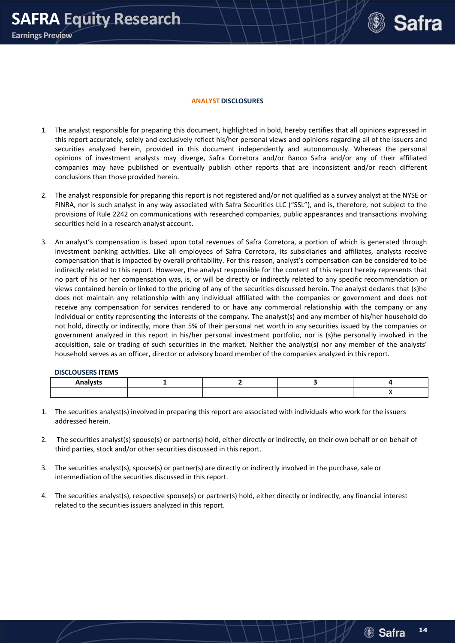

#### **ANALYST DISCLOSURES**

- 1. The analyst responsible for preparing this document, highlighted in bold, hereby certifies that all opinions expressed in this report accurately, solely and exclusively reflect his/her personal views and opinions regarding all of the issuers and securities analyzed herein, provided in this document independently and autonomously. Whereas the personal opinions of investment analysts may diverge, Safra Corretora and/or Banco Safra and/or any of their affiliated companies may have published or eventually publish other reports that are inconsistent and/or reach different conclusions than those provided herein.
- 2. The analyst responsible for preparing this report is not registered and/or not qualified as a survey analyst at the NYSE or FINRA, nor is such analyst in any way associated with Safra Securities LLC ("SSL"), and is, therefore, not subject to the provisions of Rule 2242 on communications with researched companies, public appearances and transactions involving securities held in a research analyst account.
- 3. An analyst's compensation is based upon total revenues of Safra Corretora, a portion of which is generated through investment banking activities. Like all employees of Safra Corretora, its subsidiaries and affiliates, analysts receive compensation that is impacted by overall profitability. For this reason, analyst's compensation can be considered to be indirectly related to this report. However, the analyst responsible for the content of this report hereby represents that no part of his or her compensation was, is, or will be directly or indirectly related to any specific recommendation or views contained herein or linked to the pricing of any of the securities discussed herein. The analyst declares that (s)he does not maintain any relationship with any individual affiliated with the companies or government and does not receive any compensation for services rendered to or have any commercial relationship with the company or any individual or entity representing the interests of the company. The analyst(s) and any member of his/her household do not hold, directly or indirectly, more than 5% of their personal net worth in any securities issued by the companies or government analyzed in this report in his/her personal investment portfolio, nor is (s)he personally involved in the acquisition, sale or trading of such securities in the market. Neither the analyst(s) nor any member of the analysts' household serves as an officer, director or advisory board member of the companies analyzed in this report.

#### **DISCLOUSERS ITEMS**

| alvsts |  |  |
|--------|--|--|
|        |  |  |

- 1. The securities analyst(s) involved in preparing this report are associated with individuals who work for the issuers addressed herein.
- 2. The securities analyst(s) spouse(s) or partner(s) hold, either directly or indirectly, on their own behalf or on behalf of third parties, stock and/or other securities discussed in this report.
- 3. The securities analyst(s), spouse(s) or partner(s) are directly or indirectly involved in the purchase, sale or intermediation of the securities discussed in this report.
- 4. The securities analyst(s), respective spouse(s) or partner(s) hold, either directly or indirectly, any financial interest related to the securities issuers analyzed in this report.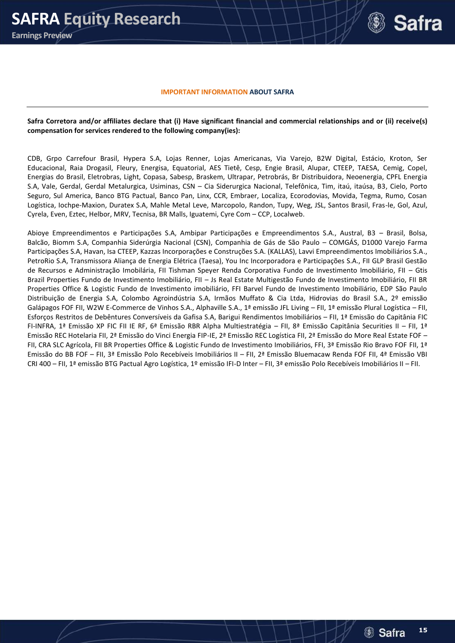

#### **IMPORTANT INFORMATION ABOUT SAFRA**

#### **Safra Corretora and/or affiliates declare that (i) Have significant financial and commercial relationships and or (ii) receive(s) compensation for services rendered to the following company(ies):**

CDB, Grpo Carrefour Brasil, Hypera S.A, Lojas Renner, Lojas Americanas, Via Varejo, B2W Digital, Estácio, Kroton, Ser Educacional, Raia Drogasil, Fleury, Energisa, Equatorial, AES Tietê, Cesp, Engie Brasil, Alupar, CTEEP, TAESA, Cemig, Copel, Energias do Brasil, Eletrobras, Light, Copasa, Sabesp, Braskem, Ultrapar, Petrobrás, Br Distribuidora, Neoenergia, CPFL Energia S.A, Vale, Gerdal, Gerdal Metalurgica, Usiminas, CSN – Cia Siderurgica Nacional, Telefônica, Tim, itaú, itaúsa, B3, Cielo, Porto Seguro, Sul America, Banco BTG Pactual, Banco Pan, Linx, CCR, Embraer, Localiza, Ecorodovias, Movida, Tegma, Rumo, Cosan Logística, Iochpe-Maxion, Duratex S.A, Mahle Metal Leve, Marcopolo, Randon, Tupy, Weg, JSL, Santos Brasil, Fras-le, Gol, Azul, Cyrela, Even, Eztec, Helbor, MRV, Tecnisa, BR Malls, Iguatemi, Cyre Com – CCP, Localweb.

Abioye Empreendimentos e Participações S.A, Ambipar Participações e Empreendimentos S.A., Austral, B3 – Brasil, Bolsa, Balcão, Biomm S.A, Companhia Siderúrgia Nacional (CSN), Companhia de Gás de São Paulo – COMGÁS, D1000 Varejo Farma Participações S.A, Havan, Isa CTEEP, Kazzas Incorporações e Construções S.A. (KALLAS), Lavvi Empreendimentos Imobiliários S.A., PetroRio S.A, Transmissora Aliança de Energia Elétrica (Taesa), You Inc Incorporadora e Participações S.A., FII GLP Brasil Gestão de Recursos e Administração Imobilária, FII Tishman Speyer Renda Corporativa Fundo de Investimento Imobiliário, FII – Gtis Brazil Properties Fundo de Investimento Imobiliário, FII – Js Real Estate Multigestão Fundo de Investimento Imobiliário, FII BR Properties Office & Logistic Fundo de Investimento imobiliário, FFI Barvel Fundo de Investimento Imobiliário, EDP São Paulo Distribuição de Energia S.A, Colombo Agroindústria S.A, Irmãos Muffato & Cia Ltda, Hidrovias do Brasil S.A., 2º emissão Galápagos FOF FII, W2W E-Commerce de Vinhos S.A., Alphaville S.A., 1ª emissão JFL Living – FII, 1ª emissão Plural Logística – FII, Esforços Restritos de Debêntures Conversíveis da Gafisa S.A, Barigui Rendimentos Imobiliários – FII, 1ª Emissão do Capitânia FIC FI-INFRA, 1ª Emissão XP FIC FII IE RF, 6ª Emissão RBR Alpha Multiestratégia – FII, 8ª Emissão Capitânia Securities II – FII, 1ª Emissão REC Hotelaria FII, 2ª Emissão do Vinci Energia FIP-IE, 2ª Emissão REC Logística FII, 2ª Emissão do More Real Estate FOF – FII, CRA SLC Agrícola, FII BR Properties Office & Logistic Fundo de Investimento Imobiliários, FFI, 3ª Emissão Rio Bravo FOF FII, 1ª Emissão do BB FOF – FII, 3ª Emissão Polo Recebíveis Imobiliários II – FII, 2ª Emissão Bluemacaw Renda FOF FII, 4ª Emissão VBI CRI 400 – FII, 1ª emissão BTG Pactual Agro Logística, 1º emissão IFI-D Inter – FII, 3ª emissão Polo Recebíveis Imobiliários II – FII.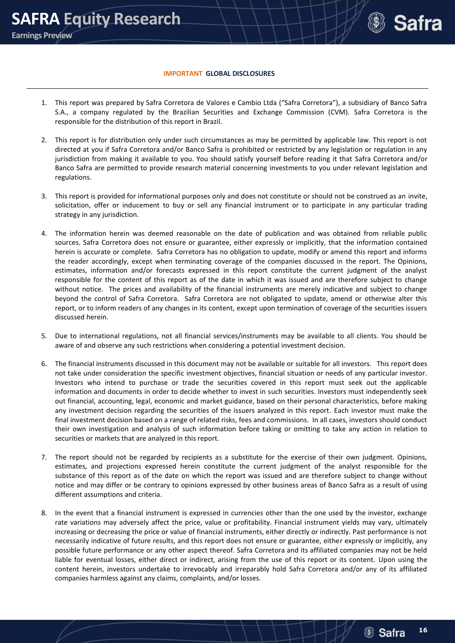

#### **IMPORTANT GLOBAL DISCLOSURES**

- 1. This report was prepared by Safra Corretora de Valores e Cambio Ltda ("Safra Corretora"), a subsidiary of Banco Safra S.A., a company regulated by the Brazilian Securities and Exchange Commission (CVM). Safra Corretora is the responsible for the distribution of this report in Brazil.
- 2. This report is for distribution only under such circumstances as may be permitted by applicable law. This report is not directed at you if Safra Corretora and/or Banco Safra is prohibited or restricted by any legislation or regulation in any jurisdiction from making it available to you. You should satisfy yourself before reading it that Safra Corretora and/or Banco Safra are permitted to provide research material concerning investments to you under relevant legislation and regulations.
- 3. This report is provided for informational purposes only and does not constitute or should not be construed as an invite, solicitation, offer or inducement to buy or sell any financial instrument or to participate in any particular trading strategy in any jurisdiction.
- 4. The information herein was deemed reasonable on the date of publication and was obtained from reliable public sources. Safra Corretora does not ensure or guarantee, either expressly or implicitly, that the information contained herein is accurate or complete. Safra Corretora has no obligation to update, modify or amend this report and informs the reader accordingly, except when terminating coverage of the companies discussed in the report. The Opinions, estimates, information and/or forecasts expressed in this report constitute the current judgment of the analyst responsible for the content of this report as of the date in which it was issued and are therefore subject to change without notice. The prices and availability of the financial instruments are merely indicative and subject to change beyond the control of Safra Corretora. Safra Corretora are not obligated to update, amend or otherwise alter this report, or to inform readers of any changes in its content, except upon termination of coverage of the securities issuers discussed herein.
- 5. Due to international regulations, not all financial services/instruments may be available to all clients. You should be aware of and observe any such restrictions when considering a potential investment decision.
- 6. The financial instruments discussed in this document may not be available or suitable for all investors. This report does not take under consideration the specific investment objectives, financial situation or needs of any particular investor. Investors who intend to purchase or trade the securities covered in this report must seek out the applicable information and documents in order to decide whether to invest in such securities. Investors must independently seek out financial, accounting, legal, economic and market guidance, based on their personal characteristics, before making any investment decision regarding the securities of the issuers analyzed in this report. Each investor must make the final investment decision based on a range of related risks, fees and commissions. In all cases, investors should conduct their own investigation and analysis of such information before taking or omitting to take any action in relation to securities or markets that are analyzed in this report.
- 7. The report should not be regarded by recipients as a substitute for the exercise of their own judgment. Opinions, estimates, and projections expressed herein constitute the current judgment of the analyst responsible for the substance of this report as of the date on which the report was issued and are therefore subject to change without notice and may differ or be contrary to opinions expressed by other business areas of Banco Safra as a result of using different assumptions and criteria.
- 8. In the event that a financial instrument is expressed in currencies other than the one used by the investor, exchange rate variations may adversely affect the price, value or profitability. Financial instrument yields may vary, ultimately increasing or decreasing the price or value of financial instruments, either directly or indirectly. Past performance is not necessarily indicative of future results, and this report does not ensure or guarantee, either expressly or implicitly, any possible future performance or any other aspect thereof. Safra Corretora and its affiliated companies may not be held liable for eventual losses, either direct or indirect, arising from the use of this report or its content. Upon using the content herein, investors undertake to irrevocably and irreparably hold Safra Corretora and/or any of its affiliated companies harmless against any claims, complaints, and/or losses.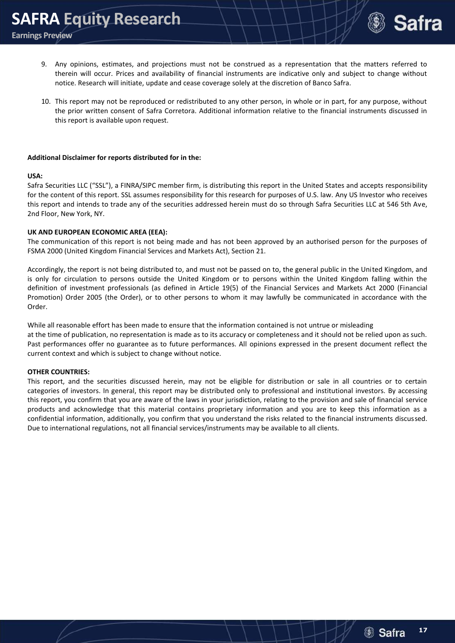

- 9. Any opinions, estimates, and projections must not be construed as a representation that the matters referred to therein will occur. Prices and availability of financial instruments are indicative only and subject to change without notice. Research will initiate, update and cease coverage solely at the discretion of Banco Safra.
- 10. This report may not be reproduced or redistributed to any other person, in whole or in part, for any purpose, without the prior written consent of Safra Corretora. Additional information relative to the financial instruments discussed in this report is available upon request.

#### **Additional Disclaimer for reports distributed for in the:**

#### **USA:**

Safra Securities LLC ("SSL"), a FINRA/SIPC member firm, is distributing this report in the United States and accepts responsibility for the content of this report. SSL assumes responsibility for this research for purposes of U.S. law. Any US Investor who receives this report and intends to trade any of the securities addressed herein must do so through Safra Securities LLC at 546 5th Ave, 2nd Floor, New York, NY.

#### **UK AND EUROPEAN ECONOMIC AREA (EEA):**

The communication of this report is not being made and has not been approved by an authorised person for the purposes of FSMA 2000 (United Kingdom Financial Services and Markets Act), Section 21.

Accordingly, the report is not being distributed to, and must not be passed on to, the general public in the United Kingdom, and is only for circulation to persons outside the United Kingdom or to persons within the United Kingdom falling within the definition of investment professionals (as defined in Article 19(5) of the Financial Services and Markets Act 2000 (Financial Promotion) Order 2005 (the Order), or to other persons to whom it may lawfully be communicated in accordance with the Order.

While all reasonable effort has been made to ensure that the information contained is not untrue or misleading at the time of publication, no representation is made as to its accuracy or completeness and it should not be relied upon as such. Past performances offer no guarantee as to future performances. All opinions expressed in the present document reflect the current context and which is subject to change without notice.

#### **OTHER COUNTRIES:**

This report, and the securities discussed herein, may not be eligible for distribution or sale in all countries or to certain categories of investors. In general, this report may be distributed only to professional and institutional investors. By accessing this report, you confirm that you are aware of the laws in your jurisdiction, relating to the provision and sale of financial service products and acknowledge that this material contains proprietary information and you are to keep this information as a confidential information, additionally, you confirm that you understand the risks related to the financial instruments discussed. Due to international regulations, not all financial services/instruments may be available to all clients.